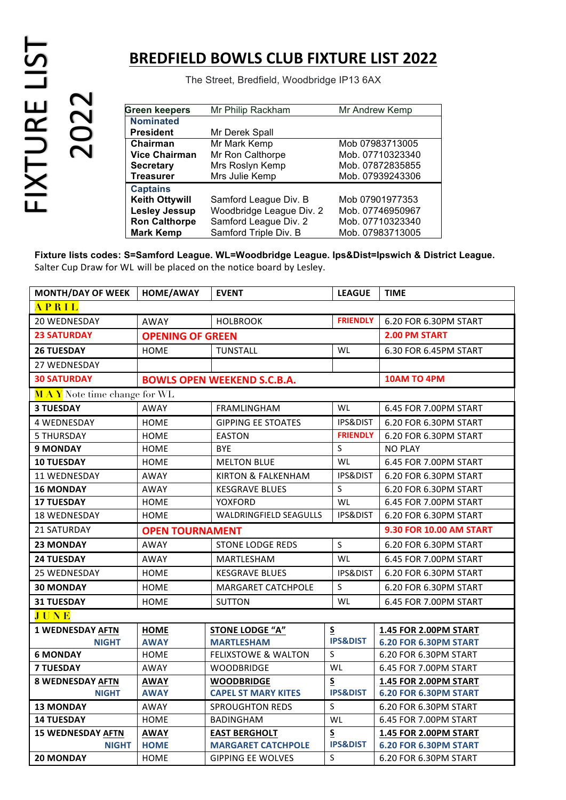## FIXTURE LIST FIXTURE LIST<br>2022

## **BREDFIELD BOWLS CLUB FIXTURE LIST 2022**

The Street, Bredfield, Woodbridge IP13 6AX

| <b>Green keepers</b>  | Mr Philip Rackham        | Mr Andrew Kemp   |  |  |
|-----------------------|--------------------------|------------------|--|--|
| <b>Nominated</b>      |                          |                  |  |  |
| <b>President</b>      | Mr Derek Spall           |                  |  |  |
| Chairman              | Mr Mark Kemp             | Mob 07983713005  |  |  |
| <b>Vice Chairman</b>  | Mr Ron Calthorpe         | Mob. 07710323340 |  |  |
| <b>Secretary</b>      | Mrs Roslyn Kemp          | Mob. 07872835855 |  |  |
| <b>Treasurer</b>      | Mrs Julie Kemp           | Mob. 07939243306 |  |  |
| <b>Captains</b>       |                          |                  |  |  |
| <b>Keith Ottywill</b> | Samford League Div. B    | Mob 07901977353  |  |  |
| <b>Lesley Jessup</b>  | Woodbridge League Div. 2 | Mob. 07746950967 |  |  |
| <b>Ron Calthorpe</b>  | Samford League Div. 2    | Mob. 07710323340 |  |  |
| <b>Mark Kemp</b>      | Samford Triple Div. B    | Mob. 07983713005 |  |  |

**Fixture lists codes: S=Samford League. WL=Woodbridge League. Ips&Dist=Ipswich & District League.**  Salter Cup Draw for WL will be placed on the notice board by Lesley.

| <b>MONTH/DAY OF WEEK</b>           | HOME/AWAY               | <b>EVENT</b>                       | <b>LEAGUE</b>           | <b>TIME</b>                  |  |  |
|------------------------------------|-------------------------|------------------------------------|-------------------------|------------------------------|--|--|
| APRIL                              |                         |                                    |                         |                              |  |  |
| 20 WEDNESDAY                       | AWAY                    | <b>HOLBROOK</b>                    | <b>FRIENDLY</b>         | 6.20 FOR 6.30PM START        |  |  |
| <b>23 SATURDAY</b>                 | <b>OPENING OF GREEN</b> |                                    | <b>2.00 PM START</b>    |                              |  |  |
| <b>26 TUESDAY</b>                  | <b>HOME</b>             | <b>TUNSTALL</b>                    | WL                      | 6.30 FOR 6.45PM START        |  |  |
| <b>27 WEDNESDAY</b>                |                         |                                    |                         |                              |  |  |
| <b>30 SATURDAY</b>                 |                         | <b>BOWLS OPEN WEEKEND S.C.B.A.</b> | <b>10AM TO 4PM</b>      |                              |  |  |
| <b>MAY</b> Note time change for WL |                         |                                    |                         |                              |  |  |
| <b>3 TUESDAY</b>                   | <b>AWAY</b>             | <b>FRAMLINGHAM</b>                 | <b>WL</b>               | 6.45 FOR 7.00PM START        |  |  |
| <b>4 WEDNESDAY</b>                 | <b>HOME</b>             | <b>GIPPING EE STOATES</b>          | <b>IPS&amp;DIST</b>     | 6.20 FOR 6.30PM START        |  |  |
| 5 THURSDAY                         | HOME                    | <b>EASTON</b>                      | <b>FRIENDLY</b>         | 6.20 FOR 6.30PM START        |  |  |
| <b>9 MONDAY</b>                    | HOME                    | <b>BYE</b>                         | $\sf S$                 | <b>NO PLAY</b>               |  |  |
| <b>10 TUESDAY</b>                  | HOME                    | <b>MELTON BLUE</b>                 | WL                      | 6.45 FOR 7.00PM START        |  |  |
| 11 WEDNESDAY                       | AWAY                    | <b>KIRTON &amp; FALKENHAM</b>      | <b>IPS&amp;DIST</b>     | 6.20 FOR 6.30PM START        |  |  |
| <b>16 MONDAY</b>                   | <b>AWAY</b>             | <b>KESGRAVE BLUES</b>              | S                       | 6.20 FOR 6.30PM START        |  |  |
| <b>17 TUESDAY</b>                  | HOME                    | YOXFORD                            | WL                      | 6.45 FOR 7.00PM START        |  |  |
| 18 WEDNESDAY                       | HOME                    | <b>WALDRINGFIELD SEAGULLS</b>      | <b>IPS&amp;DIST</b>     | 6.20 FOR 6.30PM START        |  |  |
| 21 SATURDAY                        | <b>OPEN TOURNAMENT</b>  |                                    | 9.30 FOR 10.00 AM START |                              |  |  |
| <b>23 MONDAY</b>                   | AWAY                    | <b>STONE LODGE REDS</b>            | $\mathsf{S}$            | 6.20 FOR 6.30PM START        |  |  |
| <b>24 TUESDAY</b>                  | AWAY                    | MARTLESHAM                         | <b>WL</b>               | 6.45 FOR 7.00PM START        |  |  |
| <b>25 WEDNESDAY</b>                | HOME                    | <b>KESGRAVE BLUES</b>              | <b>IPS&amp;DIST</b>     | 6.20 FOR 6.30PM START        |  |  |
| <b>30 MONDAY</b>                   | <b>HOME</b>             | <b>MARGARET CATCHPOLE</b>          | S                       | 6.20 FOR 6.30PM START        |  |  |
| <b>31 TUESDAY</b>                  | HOME                    | <b>SUTTON</b>                      | WL                      | 6.45 FOR 7.00PM START        |  |  |
| JUNE                               |                         |                                    |                         |                              |  |  |
| <b>1 WEDNESDAY AFTN</b>            | <b>HOME</b>             | <b>STONE LODGE "A"</b>             | S                       | 1.45 FOR 2.00PM START        |  |  |
| <b>NIGHT</b>                       | <b>AWAY</b>             | <b>MARTLESHAM</b>                  | <b>IPS&amp;DIST</b>     | 6.20 FOR 6.30PM START        |  |  |
| <b>6 MONDAY</b>                    | HOME                    | <b>FELIXSTOWE &amp; WALTON</b>     | $\mathsf S$             | 6.20 FOR 6.30PM START        |  |  |
| <b>7 TUESDAY</b>                   | <b>AWAY</b>             | <b>WOODBRIDGE</b>                  | WL                      | 6.45 FOR 7.00PM START        |  |  |
| <b>8 WEDNESDAY AFTN</b>            | <b>AWAY</b>             | <b>WOODBRIDGE</b>                  | S                       | <b>1.45 FOR 2.00PM START</b> |  |  |
| <b>NIGHT</b>                       | <b>AWAY</b>             | <b>CAPEL ST MARY KITES</b>         | <b>IPS&amp;DIST</b>     | 6.20 FOR 6.30PM START        |  |  |
| <b>13 MONDAY</b>                   | AWAY                    | <b>SPROUGHTON REDS</b>             | $\sf S$                 | 6.20 FOR 6.30PM START        |  |  |
| <b>14 TUESDAY</b>                  | <b>HOME</b>             | <b>BADINGHAM</b>                   | WL                      | 6.45 FOR 7.00PM START        |  |  |
| <b>15 WEDNESDAY AFTN</b>           | <b>AWAY</b>             | <b>EAST BERGHOLT</b>               | S                       | 1.45 FOR 2.00PM START        |  |  |
| <b>NIGHT</b>                       | <b>HOME</b>             | <b>MARGARET CATCHPOLE</b>          | <b>IPS&amp;DIST</b>     | 6.20 FOR 6.30PM START        |  |  |
| <b>20 MONDAY</b>                   | <b>HOME</b>             | <b>GIPPING EE WOLVES</b>           | S                       | 6.20 FOR 6.30PM START        |  |  |